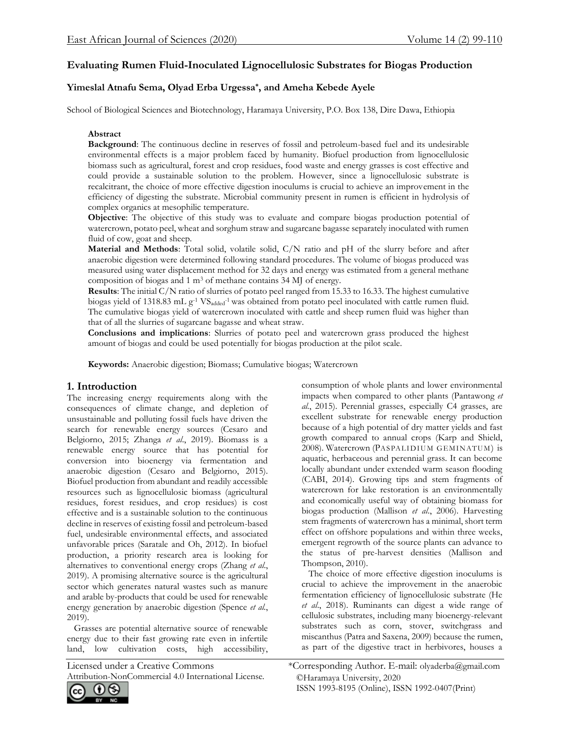# **Evaluating Rumen Fluid-Inoculated Lignocellulosic Substrates for Biogas Production**

# **Yimeslal Atnafu Sema, Olyad Erba Urgessa\*, and Ameha Kebede Ayele**

School of Biological Sciences and Biotechnology, Haramaya University, P.O. Box 138, Dire Dawa, Ethiopia

## **Abstract**

**Background**: The continuous decline in reserves of fossil and petroleum-based fuel and its undesirable environmental effects is a major problem faced by humanity. Biofuel production from lignocellulosic biomass such as agricultural, forest and crop residues, food waste and energy grasses is cost effective and could provide a sustainable solution to the problem. However, since a lignocellulosic substrate is recalcitrant, the choice of more effective digestion inoculums is crucial to achieve an improvement in the efficiency of digesting the substrate. Microbial community present in rumen is efficient in hydrolysis of complex organics at mesophilic temperature.

**Objective**: The objective of this study was to evaluate and compare biogas production potential of watercrown, potato peel, wheat and sorghum straw and sugarcane bagasse separately inoculated with rumen fluid of cow, goat and sheep.

**Material and Methods**: Total solid, volatile solid, C/N ratio and pH of the slurry before and after anaerobic digestion were determined following standard procedures. The volume of biogas produced was measured using water displacement method for 32 days and energy was estimated from a general methane composition of biogas and 1 m<sup>3</sup> of methane contains 34 MJ of energy.

**Results**: The initial C/N ratio of slurries of potato peel ranged from 15.33 to 16.33. The highest cumulative biogas yield of 1318.83 mL g<sup>-1</sup> VS<sub>added</sub><sup>-1</sup> was obtained from potato peel inoculated with cattle rumen fluid. The cumulative biogas yield of watercrown inoculated with cattle and sheep rumen fluid was higher than that of all the slurries of sugarcane bagasse and wheat straw.

**Conclusions and implications**: Slurries of potato peel and watercrown grass produced the highest amount of biogas and could be used potentially for biogas production at the pilot scale.

**Keywords:** Anaerobic digestion; Biomass; Cumulative biogas; Watercrown

# **1. Introduction**

The increasing energy requirements along with the consequences of climate change, and depletion of unsustainable and polluting fossil fuels have driven the search for renewable energy sources (Cesaro and Belgiorno, 2015; Zhanga *et al*., 2019). Biomass is a renewable energy source that has potential for conversion into bioenergy via fermentation and anaerobic digestion (Cesaro and Belgiorno, 2015). Biofuel production from abundant and readily accessible resources such as lignocellulosic biomass (agricultural residues, forest residues, and crop residues) is cost effective and is a sustainable solution to the continuous decline in reserves of existing fossil and petroleum-based fuel, undesirable environmental effects, and associated unfavorable prices (Saratale and Oh, 2012). In biofuel production, a priority research area is looking for alternatives to conventional energy crops (Zhang *et al*., 2019). A promising alternative source is the agricultural sector which generates natural wastes such as manure and arable by-products that could be used for renewable energy generation by anaerobic digestion (Spence *et al.*, 2019).

 Grasses are potential alternative source of renewable energy due to their fast growing rate even in infertile land, low cultivation costs, high accessibility,

Attribution-NonCommercial 4.0 International License.

 $\left( \mathbf{t} \right)$ cc)  $RV$ 

consumption of whole plants and lower environmental impacts when compared to other plants (Pantawong *et al.*, 2015). Perennial grasses, especially C4 grasses, are excellent substrate for renewable energy production because of a high potential of dry matter yields and fast growth compared to annual crops (Karp and Shield, 2008). Watercrown (PASPALIDIUM GEMINATUM) is aquatic, herbaceous and perennial grass. It can become locally abundant under extended warm season flooding (CABI, 2014). Growing tips and stem fragments of watercrown for lake restoration is an environmentally and economically useful way of obtaining biomass for biogas production (Mallison *et al*., 2006). Harvesting stem fragments of watercrown has a minimal, short term effect on offshore populations and within three weeks, emergent regrowth of the source plants can advance to the status of pre-harvest densities (Mallison and Thompson, 2010).

 The choice of more effective digestion inoculums is crucial to achieve the improvement in the anaerobic fermentation efficiency of lignocellulosic substrate (He *et al*., 2018). Ruminants can digest a wide range of cellulosic substrates, including many bioenergy-relevant substrates such as corn, stover, switchgrass and miscanthus (Patra and Saxena, 2009) because the rumen, as part of the digestive tract in herbivores, houses a

<sup>©</sup>Haramaya University, 2020 ISSN 1993-8195 (Online), ISSN 1992-0407(Print) Licensed under a Creative Commons \*Corresponding Author. E-mail: [olyaderba@gmail.com](mailto:olyaderba@gmail.com)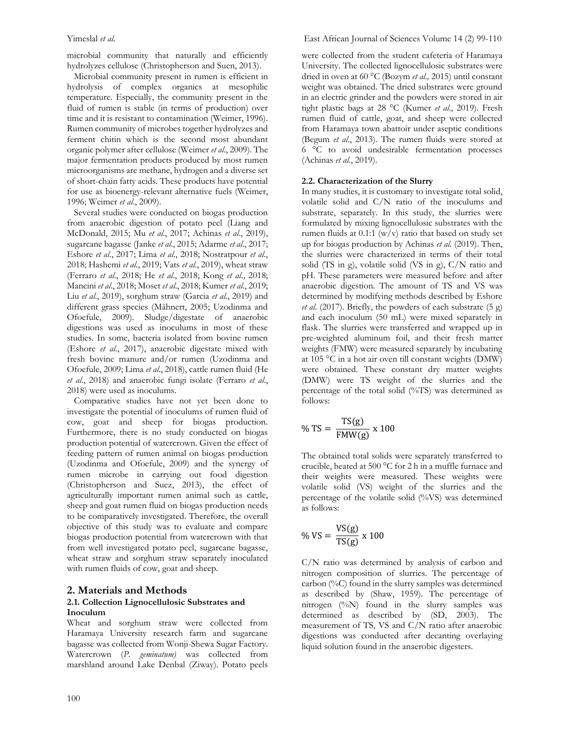microbial community that naturally and efficiently hydrolyzes cellulose (Christopherson and Suen, 2013).

 Microbial community present in rumen is efficient in hydrolysis of complex organics at mesophilic temperature. Especially, the community present in the fluid of rumen is stable (in terms of production) over time and it is resistant to contamination (Weimer, 1996). Rumen community of microbes together hydrolyzes and ferment chitin which is the second most abundant organic polymer after cellulose (Weimer *et al*., 2009). The major fermentation products produced by most rumen microorganisms are methane, hydrogen and a diverse set of short-chain fatty acids. These products have potential for use as bioenergy-relevant alternative fuels (Weimer, 1996; Weimer *et al*., 2009).

 Several studies were conducted on biogas production from anaerobic digestion of potato peel (Liang and McDonald, 2015; Mu *et al*., 2017; Achinas *et al*., 2019), sugarcane bagasse (Janke *et al*., 2015; Adarme *et al*., 2017; Eshore *et al*., 2017; Lima *et al*., 2018; Nostratpour *et al*., 2018; Hashemi *et al*., 2019; Vats *et al*., 2019), wheat straw (Ferraro *et al*., 2018; He *et al*., 2018; Kong *et al*., 2018; Mancini *et al*., 2018; Moset *et al*., 2018; Kumer *et al*., 2019; Liu *et al*., 2019), sorghum straw (Garcia *et al*., 2019) and different grass species (Mähnert, 2005; Uzodinma and Ofoefule, 2009). Sludge/digestate of anaerobic digestions was used as inoculums in most of these studies. In some, bacteria isolated from bovine rumen (Eshore *et al*., 2017), anaerobic digestate mixed with fresh bovine manure and/or rumen (Uzodinma and Ofoefule, 2009; Lima *et al*., 2018), cattle rumen fluid (He *et al*., 2018) and anaerobic fungi isolate (Ferraro *et al*., 2018) were used as inoculums.

 Comparative studies have not yet been done to investigate the potential of inoculums of rumen fluid of cow, goat and sheep for biogas production. Furthermore, there is no study conducted on biogas production potential of watercrown. Given the effect of feeding pattern of rumen animal on biogas production (Uzodinma and Ofoefule, 2009) and the synergy of rumen microbe in carrying out food digestion (Christopherson and Suez, 2013), the effect of agriculturally important rumen animal such as cattle, sheep and goat rumen fluid on biogas production needs to be comparatively investigated. Therefore, the overall objective of this study was to evaluate and compare biogas production potential from watercrown with that from well investigated potato peel, sugarcane bagasse, wheat straw and sorghum straw separately inoculated with rumen fluids of cow, goat and sheep.

# **2. Materials and Methods**

#### **2.1. Collection Lignocellulosic Substrates and Inoculum**

Wheat and sorghum straw were collected from Haramaya University research farm and sugarcane bagasse was collected from Wonji-Shewa Sugar Factory. Watercrown (*P. geminatum)* was collected from marshland around Lake Denbal (Ziway). Potato peels were collected from the student cafeteria of Haramaya University. The collected lignocellulosic substrates were dried in oven at 60 °C (Bozym *et al.,* 2015) until constant weight was obtained. The dried substrates were ground in an electric grinder and the powders were stored in air tight plastic bags at 28 °C (Kumer *et al*., 2019). Fresh rumen fluid of cattle, goat, and sheep were collected from Haramaya town abattoir under aseptic conditions (Begum *et al*., 2013). The rumen fluids were stored at 6 °C to avoid undesirable fermentation processes (Achinas *et al*., 2019).

#### **2.2. Characterization of the Slurry**

In many studies, it is customary to investigate total solid, volatile solid and C/N ratio of the inoculums and substrate, separately. In this study, the slurries were formulated by mixing lignocellulosic substrates with the rumen fluids at  $0.1:1 \frac{w}{v}$  ratio that based on study set up for biogas production by Achinas *et al*. (2019). Then, the slurries were characterized in terms of their total solid (TS in g), volatile solid (VS in g), C/N ratio and pH. These parameters were measured before and after anaerobic digestion. The amount of TS and VS was determined by modifying methods described by Eshore *et al*. (2017). Briefly, the powders of each substrate (5 g) and each inoculum (50 mL) were mixed separately in flask. The slurries were transferred and wrapped up in pre-weighted aluminum foil, and their fresh matter weights (FMW) were measured separately by incubating at 105 °C in a hot air oven till constant weights (DMW) were obtained. These constant dry matter weights (DMW) were TS weight of the slurries and the percentage of the total solid (%TS) was determined as follows:

$$
\% TS = \frac{TS(g)}{FMW(g)} \times 100
$$

The obtained total solids were separately transferred to crucible, heated at 500 °C for 2 h in a muffle furnace and their weights were measured. These weights were volatile solid (VS) weight of the slurries and the percentage of the volatile solid (%VS) was determined as follows:

$$
\% \text{ VS} = \frac{\text{VS(g)}}{\text{TS(g)}} \times 100
$$

C/N ratio was determined by analysis of carbon and nitrogen composition of slurries. The percentage of carbon (%C) found in the slurry samples was determined as described by (Shaw, 1959). The percentage of nitrogen (%N) found in the slurry samples was determined as described by (SD, 2003). The measurement of TS, VS and C/N ratio after anaerobic digestions was conducted after decanting overlaying liquid solution found in the anaerobic digesters.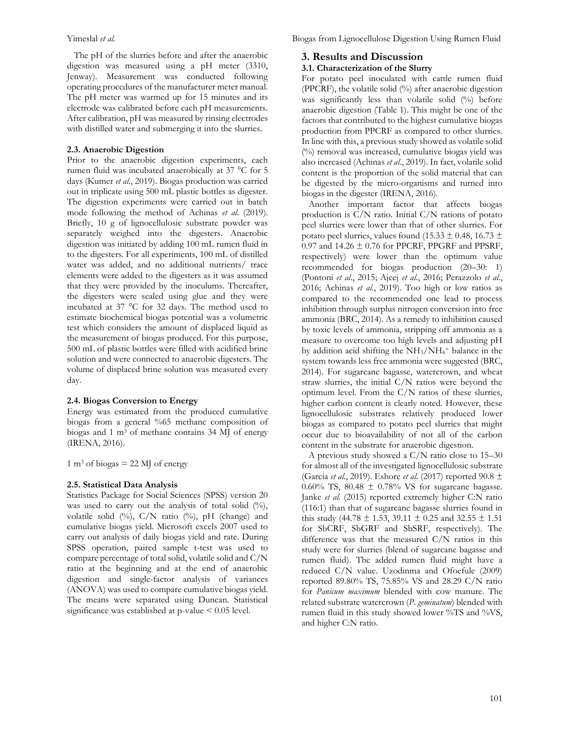The pH of the slurries before and after the anaerobic digestion was measured using a pH meter (3310, Jenway). Measurement was conducted following operating procedures of the manufacturer meter manual. The pH meter was warmed up for 15 minutes and its electrode was calibrated before each pH measurements. After calibration, pH was measured by rinsing electrodes with distilled water and submerging it into the slurries.

#### **2.3. Anaerobic Digestion**

Prior to the anaerobic digestion experiments, each rumen fluid was incubated anaerobically at 37 °C for 5 days (Kumer *et al*., 2019). Biogas production was carried out in triplicate using 500 mL plastic bottles as digester. The digestion experiments were carried out in batch mode following the method of Achinas *et al*. (2019). Briefly, 10 g of lignocellulosic substrate powder was separately weighed into the digesters. Anaerobic digestion was initiated by adding 100 mL rumen fluid in to the digesters. For all experiments, 100 mL of distilled water was added, and no additional nutrients/ trace elements were added to the digesters as it was assumed that they were provided by the inoculums. Thereafter, the digesters were sealed using glue and they were incubated at 37 °C for 32 days. The method used to estimate biochemical biogas potential was a volumetric test which considers the amount of displaced liquid as the measurement of biogas produced. For this purpose, 500 mL of plastic bottles were filled with acidified brine solution and were connected to anaerobic digesters. The volume of displaced brine solution was measured every day.

#### **2.4. Biogas Conversion to Energy**

Energy was estimated from the produced cumulative biogas from a general %65 methane composition of biogas and 1 m<sup>3</sup> of methane contains 34 MJ of energy (IRENA, 2016).

1 m<sup>3</sup> of biogas = 22 MJ of energy

#### **2.5. Statistical Data Analysis**

Statistics Package for Social Sciences (SPSS) version 20 was used to carry out the analysis of total solid (%), volatile solid (%), C/N ratio (%), pH (change) and cumulative biogas yield. Microsoft excels 2007 used to carry out analysis of daily biogas yield and rate. During SPSS operation, paired sample t-test was used to compare percentage of total solid, volatile solid and C/N ratio at the beginning and at the end of anaerobic digestion and single-factor analysis of variances (ANOVA) was used to compare cumulative biogas yield. The means were separated using Duncan. Statistical significance was established at  $p$ -value  $\leq 0.05$  level.

# **3. Results and Discussion**

### **3.1. Characterization of the Slurry**

For potato peel inoculated with cattle rumen fluid (PPCRF), the volatile solid (%) after anaerobic digestion was significantly less than volatile solid (%) before anaerobic digestion (Table 1). This might be one of the factors that contributed to the highest cumulative biogas production from PPCRF as compared to other slurries. In line with this, a previous study showed as volatile solid (%) removal was increased, cumulative biogas yield was also increased (Achinas *et al*., 2019). In fact, volatile solid content is the proportion of the solid material that can be digested by the micro-organisms and turned into biogas in the digester (IRENA, 2016).

 Another important factor that affects biogas production is C/N ratio. Initial C/N rations of potato peel slurries were lower than that of other slurries. For potato peel slurries, values found (15.33  $\pm$  0.48, 16.73  $\pm$  $0.97$  and 14.26  $\pm$  0.76 for PPCRF, PPGRF and PPSRF, respectively) were lower than the optimum value recommended for biogas production (20–30: 1) (Pontoni *et al*., 2015; Ajeej *et al*., 2016; Perazzolo *et al*., 2016; Achinas *et al*., 2019). Too high or low ratios as compared to the recommended one lead to process inhibition through surplus nitrogen conversion into free ammonia (BRC, 2014). As a remedy to inhibition caused by toxic levels of ammonia, stripping off ammonia as a measure to overcome too high levels and adjusting pH by addition acid shifting the  $NH<sub>3</sub>/NH<sub>4</sub>$ <sup>+</sup> balance in the system towards less free ammonia were suggested (BRC, 2014). For sugarcane bagasse, watercrown, and wheat straw slurries, the initial C/N ratios were beyond the optimum level. From the  $C/N$  ratios of these slurries, higher carbon content is clearly noted. However, these lignocellulosic substrates relatively produced lower biogas as compared to potato peel slurries that might occur due to bioavailability of not all of the carbon content in the substrate for anaerobic digestion.

 A previous study showed a C/N ratio close to 15–30 for almost all of the investigated lignocellulosic substrate (Garcia *et al*., 2019). Eshore *et al*. (2017) reported 90.8 ± 0.60% TS, 80.48  $\pm$  0.78% VS for sugarcane bagasse. Janke *et al*. (2015) reported extremely higher C:N ratio (116:1) than that of sugarcane bagasse slurries found in this study (44.78  $\pm$  1.53, 39.11  $\pm$  0.25 and 32.55  $\pm$  1.51 for SbCRF, SbGRF and SbSRF, respectively). The difference was that the measured C/N ratios in this study were for slurries (blend of sugarcane bagasse and rumen fluid). The added rumen fluid might have a reduced C/N value. Uzodinma and Ofoefule (2009) reported 89.80% TS, 75.85% VS and 28.29 C/N ratio for *Panicum maximum* blended with cow manure. The related substrate watercrown (*P*. *geminatum*) blended with rumen fluid in this study showed lower %TS and %VS, and higher C:N ratio.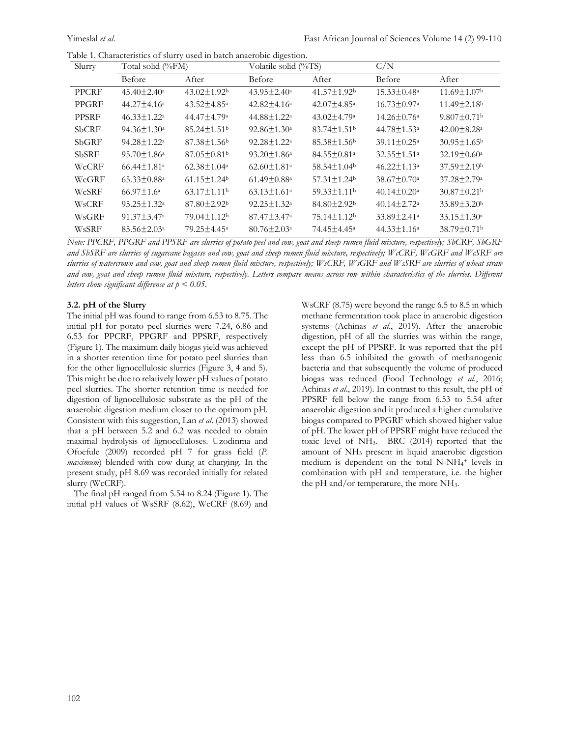|  | Table 1. Characteristics of slurry used in batch anaerobic digestion. |  |  |  |  |  |  |
|--|-----------------------------------------------------------------------|--|--|--|--|--|--|
|--|-----------------------------------------------------------------------|--|--|--|--|--|--|

| Slurry       | Total solid (%FM)             |                               | Volatile solid (%TS)          |                               | C/N                           |                               |
|--------------|-------------------------------|-------------------------------|-------------------------------|-------------------------------|-------------------------------|-------------------------------|
|              | Before                        | After                         | Before                        | After                         | Before                        | After                         |
| PPCRF        | $45.40 \pm 2.40^{\circ}$      | $43.02 \pm 1.92$              | $43.95 \pm 2.40^{\circ}$      | $41.57 \pm 1.92$              | $15.33 \pm 0.48^a$            | $11.69 \pm 1.07$              |
| PPGRF        | $44.27 \pm 4.16^a$            | $43.52 \pm 4.85^{\circ}$      | $42.82 \pm 4.16^a$            | $42.07 \pm 4.85$ <sup>a</sup> | $16.73 \pm 0.97$ <sup>a</sup> | $11.49 \pm 2.18$ <sup>b</sup> |
| <b>PPSRF</b> | $46.33 \pm 1.22^a$            | 44.47±4.79 <sup>a</sup>       | 44.88±1.22 <sup>a</sup>       | $43.02 \pm 4.79$ <sup>a</sup> | $14.26 \pm 0.76$ <sup>a</sup> | $9.807 \pm 0.71$ <sup>b</sup> |
| <b>SbCRF</b> | $94.36 \pm 1.30^{\circ}$      | $85.24 \pm 1.51$ <sup>b</sup> | $92.86 \pm 1.30^a$            | $83.74 \pm 1.51$ <sup>b</sup> | 44.78±1.53 <sup>a</sup>       | $42.00 \pm 8.28$ <sup>a</sup> |
| SbGRF        | $94.28 \pm 1.22^a$            | $87.38 \pm 1.56$              | $92.28 \pm 1.22^a$            | $85.38 \pm 1.56$              | $39.11 \pm 0.25$ <sup>a</sup> | $30.95 \pm 1.65$              |
| <b>SbSRF</b> | $95.70 \pm 1.86^{\circ}$      | $87.05 \pm 0.81$ <sup>b</sup> | $93.20 \pm 1.86^{\circ}$      | $84.55 \pm 0.81$ <sup>a</sup> | 32.55±1.51 <sup>a</sup>       | $32.19 \pm 0.60^{\circ}$      |
| WcCRF        | $66.44 \pm 1.81$ <sup>a</sup> | $62.38 \pm 1.04$ <sup>a</sup> | $62.60 \pm 1.81$ <sup>a</sup> | $58.54 \pm 1.04$ <sup>b</sup> | $46.22 \pm 1.13^a$            | $37.59 \pm 2.19^{\circ}$      |
| WcGRF        | $65.33 \pm 0.88$ <sup>a</sup> | $61.15 \pm 1.24$ <sup>b</sup> | $61.49 \pm 0.88$ <sup>a</sup> | $57.31 \pm 1.24$ <sup>b</sup> | $38.67 \pm 0.70^{\circ}$      | $37.28 \pm 2.79$ <sup>a</sup> |
| WcSRF        | $66.97 \pm 1.6^{\circ}$       | $63.17 \pm 1.11$ <sup>b</sup> | $63.13 \pm 1.61$ <sup>a</sup> | $59.33 \pm 1.11$ <sup>b</sup> | $40.14 \pm 0.20^a$            | $30.87 \pm 0.21$              |
| WsCRF        | $95.25 \pm 1.32^a$            | $87.80 \pm 2.92$              | $92.25 \pm 1.32^a$            | $84.80 \pm 2.92$ <sup>b</sup> | $40.14 \pm 2.72$ <sup>a</sup> | $33.89 \pm 3.20^{\rm b}$      |
| WsGRF        | $91.37 \pm 3.47^{\mathrm{a}}$ | 79.04±1.12 <sup>b</sup>       | $87.47 \pm 3.47^{\mathrm{a}}$ | 75.14±1.12 <sup>b</sup>       | $33.89 \pm 2.41^{\circ}$      | $33.15 \pm 1.30^a$            |
| WsSRF        | $85.56 \pm 2.03$ <sup>a</sup> | 79.25 ± 4.45 <sup>a</sup>     | $80.76 \pm 2.03$ <sup>a</sup> | 74.45 ± 4.45 <sup>a</sup>     | $44.33 \pm 1.16^a$            | $38.79 \pm 0.71$ <sup>b</sup> |

*Note: PPCRF, PPGRF and PPSRF are slurries of potato peel and cow, goat and sheep rumen fluid mixture, respectively; SbCRF, SbGRF and SbSRF are slurries of sugarcane bagasse and cow, goat and sheep rumen fluid mixture, respectively; WcCRF, WcGRF and WcSRF are slurries of watercrown and cow, goat and sheep rumen fluid mixture, respectively; WsCRF, WsGRF and WsSRF are slurries of wheat straw and cow, goat and sheep rumen fluid mixture, respectively. Letters compare means across row within characteristics of the slurries. Different letters show significant difference at p < 0.05.*

#### **3.2. pH of the Slurry**

The initial pH was found to range from 6.53 to 8.75. The initial pH for potato peel slurries were 7.24, 6.86 and 6.53 for PPCRF, PPGRF and PPSRF, respectively (Figure 1). The maximum daily biogas yield was achieved in a shorter retention time for potato peel slurries than for the other lignocellulosic slurries (Figure 3, 4 and 5). This might be due to relatively lower pH values of potato peel slurries. The shorter retention time is needed for digestion of lignocellulosic substrate as the pH of the anaerobic digestion medium closer to the optimum pH. Consistent with this suggestion, Lan *et al*. (2013) showed that a pH between 5.2 and 6.2 was needed to obtain maximal hydrolysis of lignocelluloses. Uzodinma and Ofoefule (2009) recorded pH 7 for grass field (*P. maximum*) blended with cow dung at charging. In the present study, pH 8.69 was recorded initially for related slurry (WcCRF).

 The final pH ranged from 5.54 to 8.24 (Figure 1). The initial pH values of WsSRF (8.62), WcCRF (8.69) and

WsCRF (8.75) were beyond the range 6.5 to 8.5 in which methane fermentation took place in anaerobic digestion systems (Achinas *et al*., 2019). After the anaerobic digestion, pH of all the slurries was within the range, except the pH of PPSRF. It was reported that the pH less than 6.5 inhibited the growth of methanogenic bacteria and that subsequently the volume of produced biogas was reduced (Food Technology *et al*., 2016; Achinas *et al*., 2019). In contrast to this result, the pH of PPSRF fell below the range from 6.53 to 5.54 after anaerobic digestion and it produced a higher cumulative biogas compared to PPGRF which showed higher value of pH. The lower pH of PPSRF might have reduced the toxic level of NH3. BRC (2014) reported that the amount of NH<sup>3</sup> present in liquid anaerobic digestion medium is dependent on the total N-NH<sub>4</sub>+ levels in combination with pH and temperature, i.e. the higher the pH and/or temperature, the more NH3.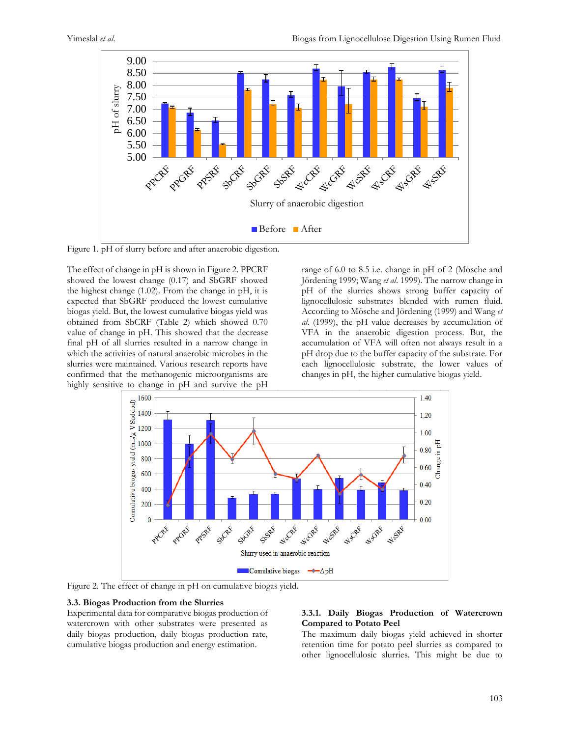

Figure 1. pH of slurry before and after anaerobic digestion.

The effect of change in pH is shown in Figure 2. PPCRF showed the lowest change (0.17) and SbGRF showed the highest change (1.02). From the change in pH, it is expected that SbGRF produced the lowest cumulative biogas yield. But, the lowest cumulative biogas yield was obtained from SbCRF (Table 2) which showed 0.70 value of change in pH. This showed that the decrease final pH of all slurries resulted in a narrow change in which the activities of natural anaerobic microbes in the slurries were maintained. Various research reports have confirmed that the methanogenic microorganisms are highly sensitive to change in pH and survive the pH

range of 6.0 to 8.5 i.e. change in pH of 2 (Mösche and Jördening 1999; Wang *et al*. 1999). The narrow change in pH of the slurries shows strong buffer capacity of lignocellulosic substrates blended with rumen fluid. According to Mösche and Jördening (1999) and Wang *et al*. (1999), the pH value decreases by accumulation of VFA in the anaerobic digestion process. But, the accumulation of VFA will often not always result in a pH drop due to the buffer capacity of the substrate. For each lignocellulosic substrate, the lower values of changes in pH, the higher cumulative biogas yield.



Figure 2. The effect of change in pH on cumulative biogas yield.

#### **3.3. Biogas Production from the Slurries**

Experimental data for comparative biogas production of watercrown with other substrates were presented as daily biogas production, daily biogas production rate, cumulative biogas production and energy estimation.

# **3.3.1. Daily Biogas Production of Watercrown Compared to Potato Peel**

The maximum daily biogas yield achieved in shorter retention time for potato peel slurries as compared to other lignocellulosic slurries. This might be due to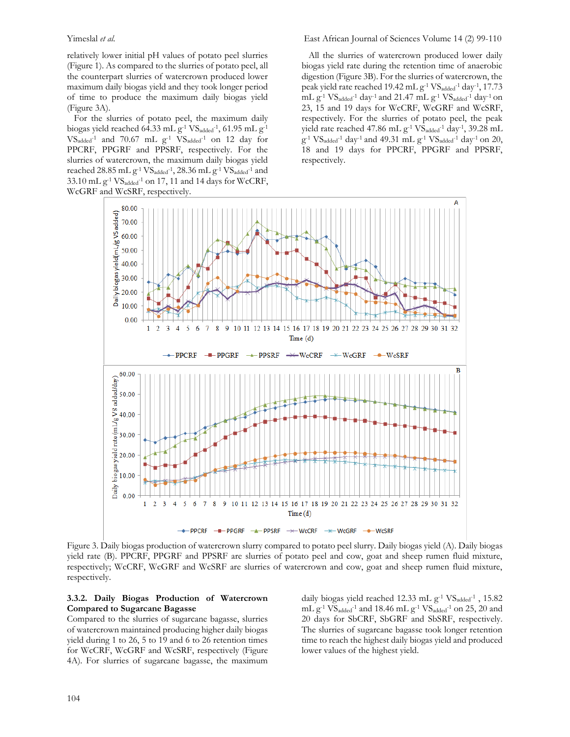relatively lower initial pH values of potato peel slurries (Figure 1). As compared to the slurries of potato peel, all the counterpart slurries of watercrown produced lower maximum daily biogas yield and they took longer period of time to produce the maximum daily biogas yield (Figure 3A).

 For the slurries of potato peel, the maximum daily biogas yield reached 64.33 mL  $g^{-1}$  VS<sub>added</sub><sup>-1</sup>, 61.95 mL  $g^{-1}$  $VS_{added}$ <sup>-1</sup> and 70.67 mL  $g^{-1}$  VS<sub>added</sub><sup>-1</sup> on 12 day for PPCRF, PPGRF and PPSRF, respectively. For the slurries of watercrown, the maximum daily biogas yield reached  $28.85$  mL  $g^{-1}$   $VS_{added}^{-1}$ ,  $28.36$  mL  $g^{-1}$   $VS_{added}^{-1}$  and  $33.10$  mL g<sup>-1</sup> VS<sub>added</sub><sup>-1</sup> on 17, 11 and 14 days for WcCRF, WcGRF and WcSRF, respectively.

Yimeslal *et al*. East African Journal of Sciences Volume 14 (2) 99-110

 All the slurries of watercrown produced lower daily biogas yield rate during the retention time of anaerobic digestion (Figure 3B). For the slurries of watercrown, the peak yield rate reached 19.42 mL g<sup>-1</sup> VS<sub>added</sub><sup>-1</sup> day<sup>-1</sup>, 17.73 mL g<sup>-1</sup> VS<sub>added</sub><sup>-1</sup> day<sup>-1</sup> and 21.47 mL g<sup>-1</sup> VS<sub>added</sub><sup>-1</sup> day<sup>-1</sup> on 23, 15 and 19 days for WcCRF, WcGRF and WcSRF, respectively. For the slurries of potato peel, the peak yield rate reached 47.86 mL  $g^{-1}$  VS<sub>added</sub><sup>-1</sup> day<sup>-1</sup>, 39.28 mL  $g^{-1}$  VS<sub>added</sub><sup>-1</sup> day<sup>-1</sup> and 49.31 mL  $g^{-1}$  VS<sub>added</sub><sup>-1</sup> day<sup>-1</sup> on 20, 18 and 19 days for PPCRF, PPGRF and PPSRF, respectively.



Figure 3. Daily biogas production of watercrown slurry compared to potato peel slurry. Daily biogas yield (A). Daily biogas yield rate (B). PPCRF, PPGRF and PPSRF are slurries of potato peel and cow, goat and sheep rumen fluid mixture, respectively; WcCRF, WcGRF and WcSRF are slurries of watercrown and cow, goat and sheep rumen fluid mixture, respectively.

## **3.3.2. Daily Biogas Production of Watercrown Compared to Sugarcane Bagasse**

Compared to the slurries of sugarcane bagasse, slurries of watercrown maintained producing higher daily biogas yield during 1 to 26, 5 to 19 and 6 to 26 retention times for WcCRF, WcGRF and WcSRF, respectively (Figure 4A). For slurries of sugarcane bagasse, the maximum

daily biogas yield reached 12.33 mL g<sup>-1</sup> VS<sub>added</sub>-<sup>1</sup>, 15.82 mL  $g^{-1}$  VS<sub>added</sub>-1 and 18.46 mL  $g^{-1}$  VS<sub>added</sub>-1 on 25, 20 and 20 days for SbCRF, SbGRF and SbSRF, respectively. The slurries of sugarcane bagasse took longer retention time to reach the highest daily biogas yield and produced lower values of the highest yield.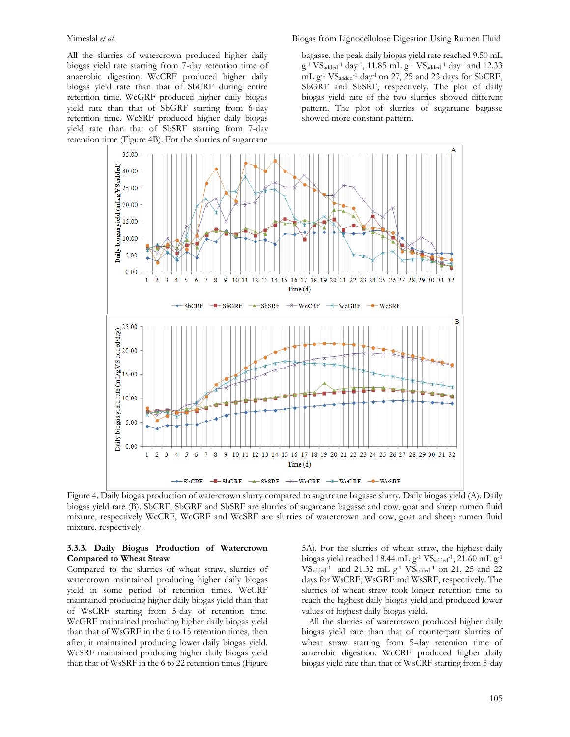All the slurries of watercrown produced higher daily biogas yield rate starting from 7-day retention time of anaerobic digestion. WcCRF produced higher daily biogas yield rate than that of SbCRF during entire retention time. WcGRF produced higher daily biogas yield rate than that of SbGRF starting from 6-day retention time. WcSRF produced higher daily biogas yield rate than that of SbSRF starting from 7-day retention time (Figure 4B). For the slurries of sugarcane

bagasse, the peak daily biogas yield rate reached 9.50 mL  $g^{-1}$  VS<sub>added</sub><sup>-1</sup> day<sup>-1</sup>, 11.85 mL  $g^{-1}$  VS<sub>added</sub><sup>-1</sup> day<sup>-1</sup> and 12.33 mL g-1 VSadded-1 day-1 on 27, 25 and 23 days for SbCRF, SbGRF and SbSRF, respectively. The plot of daily biogas yield rate of the two slurries showed different pattern. The plot of slurries of sugarcane bagasse showed more constant pattern.



Figure 4. Daily biogas production of watercrown slurry compared to sugarcane bagasse slurry. Daily biogas yield (A). Daily biogas yield rate (B). SbCRF, SbGRF and SbSRF are slurries of sugarcane bagasse and cow, goat and sheep rumen fluid mixture, respectively WcCRF, WcGRF and WcSRF are slurries of watercrown and cow, goat and sheep rumen fluid mixture, respectively.

### **3.3.3. Daily Biogas Production of Watercrown Compared to Wheat Straw**

Compared to the slurries of wheat straw, slurries of watercrown maintained producing higher daily biogas yield in some period of retention times. WcCRF maintained producing higher daily biogas yield than that of WsCRF starting from 5-day of retention time. WcGRF maintained producing higher daily biogas yield than that of WsGRF in the 6 to 15 retention times, then after, it maintained producing lower daily biogas yield. WcSRF maintained producing higher daily biogas yield than that of WsSRF in the 6 to 22 retention times (Figure 5A). For the slurries of wheat straw, the highest daily biogas yield reached 18.44 mL  $g^{-1}$  VS<sub>added</sub><sup>-1</sup>, 21.60 mL  $g^{-1}$ VSadded-1 and 21.32 mL g-1 VSadded-1 on 21, 25 and 22 days for WsCRF, WsGRF and WsSRF, respectively. The slurries of wheat straw took longer retention time to reach the highest daily biogas yield and produced lower values of highest daily biogas yield.

 All the slurries of watercrown produced higher daily biogas yield rate than that of counterpart slurries of wheat straw starting from 5-day retention time of anaerobic digestion. WcCRF produced higher daily biogas yield rate than that of WsCRF starting from 5-day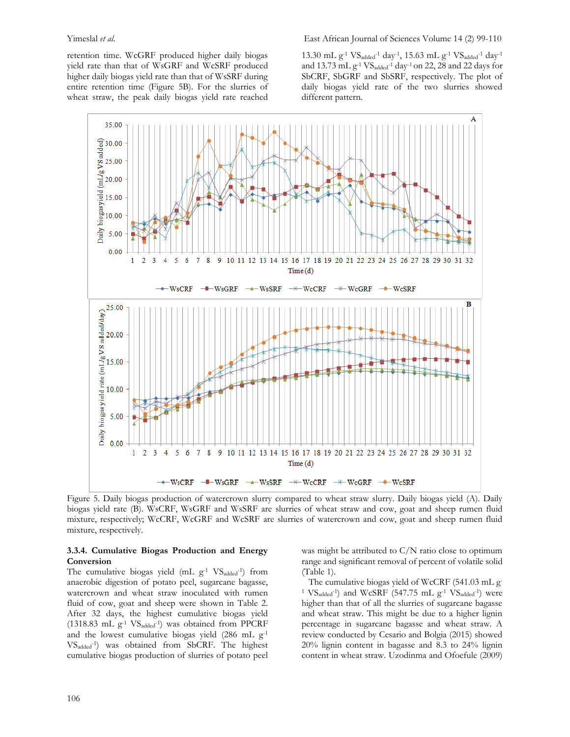Yimeslal *et al.* East African Journal of Sciences Volume 14 (2) 99-110

retention time. WcGRF produced higher daily biogas yield rate than that of WsGRF and WcSRF produced higher daily biogas yield rate than that of WsSRF during entire retention time (Figure 5B). For the slurries of wheat straw, the peak daily biogas yield rate reached

13.30 mL  $g^{-1}$  VS<sub>added</sub><sup>-1</sup> day<sup>-1</sup>, 15.63 mL  $g^{-1}$  VS<sub>added</sub><sup>-1</sup> day<sup>-1</sup> and 13.73 mL  $g^{-1}VS_{added}^{-1}$  day<sup>-1</sup> on 22, 28 and 22 days for SbCRF, SbGRF and SbSRF, respectively. The plot of daily biogas yield rate of the two slurries showed different pattern.



Figure 5. Daily biogas production of watercrown slurry compared to wheat straw slurry. Daily biogas yield (A). Daily biogas yield rate (B). WsCRF, WsGRF and WsSRF are slurries of wheat straw and cow, goat and sheep rumen fluid mixture, respectively; WcCRF, WcGRF and WcSRF are slurries of watercrown and cow, goat and sheep rumen fluid mixture, respectively.

#### **3.3.4. Cumulative Biogas Production and Energy Conversion**

The cumulative biogas yield  $(mL g^{-1} V S_{added}^{-1})$  from anaerobic digestion of potato peel, sugarcane bagasse, watercrown and wheat straw inoculated with rumen fluid of cow, goat and sheep were shown in Table 2. After 32 days, the highest cumulative biogas yield  $(1318.83 \text{ mL g}^{-1} \text{ VS}_{\text{added}}^{-1})$  was obtained from PPCRF and the lowest cumulative biogas yield (286 mL g-1 VSadded-1 ) was obtained from SbCRF. The highest cumulative biogas production of slurries of potato peel

was might be attributed to  $C/N$  ratio close to optimum range and significant removal of percent of volatile solid (Table 1).

 The cumulative biogas yield of WcCRF (541.03 mL g-<sup>1</sup>  $VS_{added}$ <sup>-1</sup>) and  $WCSRF$  (547.75 mL  $g$ <sup>-1</sup>  $VS_{added}$ <sup>-1</sup>) were higher than that of all the slurries of sugarcane bagasse and wheat straw. This might be due to a higher lignin percentage in sugarcane bagasse and wheat straw. A review conducted by Cesario and Bolgia (2015) showed 20% lignin content in bagasse and 8.3 to 24% lignin content in wheat straw. Uzodinma and Ofoefule (2009)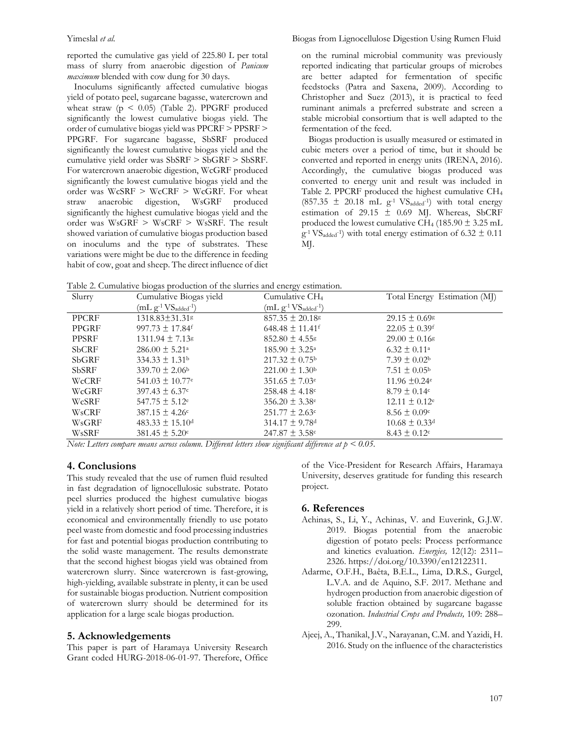reported the cumulative gas yield of 225.80 L per total mass of slurry from anaerobic digestion of *Panicum maximum* blended with cow dung for 30 days.

 Inoculums significantly affected cumulative biogas yield of potato peel, sugarcane bagasse, watercrown and wheat straw ( $p \leq 0.05$ ) (Table 2). PPGRF produced significantly the lowest cumulative biogas yield. The order of cumulative biogas yield was PPCRF > PPSRF > PPGRF. For sugarcane bagasse, SbSRF produced significantly the lowest cumulative biogas yield and the cumulative yield order was SbSRF > SbGRF > SbSRF. For watercrown anaerobic digestion, WcGRF produced significantly the lowest cumulative biogas yield and the order was WcSRF > WcCRF > WcGRF. For wheat straw anaerobic digestion, WsGRF produced significantly the highest cumulative biogas yield and the order was WsGRF > WsCRF > WsSRF. The result showed variation of cumulative biogas production based on inoculums and the type of substrates. These variations were might be due to the difference in feeding habit of cow, goat and sheep. The direct influence of diet on the ruminal microbial community was previously reported indicating that particular groups of microbes are better adapted for fermentation of specific feedstocks (Patra and Saxena, 2009). According to Christopher and Suez (2013), it is practical to feed ruminant animals a preferred substrate and screen a stable microbial consortium that is well adapted to the fermentation of the feed.

 Biogas production is usually measured or estimated in cubic meters over a period of time, but it should be converted and reported in energy units (IRENA, 2016). Accordingly, the cumulative biogas produced was converted to energy unit and result was included in Table 2. PPCRF produced the highest cumulative CH<sup>4</sup>  $(857.35 \pm 20.18 \text{ mL g}^{-1} \text{ V} \text{S}_{\text{added}}^{-1})$  with total energy estimation of 29.15  $\pm$  0.69 MJ. Whereas, SbCRF produced the lowest cumulative CH<sub>4</sub> (185.90  $\pm$  3.25 mL  $g^{-1}VS_{added}^{-1}$  with total energy estimation of 6.32  $\pm$  0.11 MJ.

Table 2. Cumulative biogas production of the slurries and energy estimation.

| Table 2. Cumulative biogas production of the siurries and energy estimation. |                                 |                                 |                               |  |  |
|------------------------------------------------------------------------------|---------------------------------|---------------------------------|-------------------------------|--|--|
| Slurry                                                                       | Cumulative Biogas yield         | Cumulative CH <sub>4</sub>      | Total Energy Estimation (MJ)  |  |  |
|                                                                              | $(mL g^{-1}VS_{added}^{-1})$    | $(mL g^{-1}VS_{added}^{-1})$    |                               |  |  |
| <b>PPCRF</b>                                                                 | $1318.83 \pm 31.31$ s           | $857.35 \pm 20.18$ <sup>g</sup> | $29.15 \pm 0.69$              |  |  |
| PPGRF                                                                        | $997.73 \pm 17.84$ <sup>f</sup> | $648.48 \pm 11.41$ <sup>f</sup> | $22.05 \pm 0.39$ <sup>f</sup> |  |  |
| PPSRF                                                                        | $1311.94 \pm 7.13$ <sup>g</sup> | $852.80 \pm 4.55$               | $29.00 \pm 0.16$              |  |  |
| <b>SbCRF</b>                                                                 | $286.00 \pm 5.21^{\circ}$       | $185.90 \pm 3.25^{\circ}$       | $6.32 \pm 0.11^{\circ}$       |  |  |
| <b>SbGRF</b>                                                                 | $334.33 \pm 1.31^{\circ}$       | $217.32 \pm 0.75^{\rm b}$       | $7.39 \pm 0.02^{\rm b}$       |  |  |
| <b>SbSRF</b>                                                                 | $339.70 \pm 2.06^{\circ}$       | $221.00 \pm 1.30^{\circ}$       | $7.51 \pm 0.05^{\rm b}$       |  |  |
| WcCRF                                                                        | $541.03 \pm 10.77$ <sup>e</sup> | $351.65 \pm 7.03$ <sup>e</sup>  | 11.96 $\pm 0.24$ <sup>e</sup> |  |  |
| WcGRF                                                                        | $397.43 \pm 6.37$ °             | $258.48 \pm 4.18$ c             | $8.79 \pm 0.14$ c             |  |  |
| WcSRF                                                                        | $547.75 \pm 5.12$ <sup>e</sup>  | $356.20 \pm 3.38$ <sup>e</sup>  | $12.11 \pm 0.12^e$            |  |  |
| WsCRF                                                                        | $387.15 \pm 4.26$ c             | $251.77 \pm 2.63$ c             | $8.56 \pm 0.09$ c             |  |  |
| WsGRF                                                                        | $483.33 \pm 15.10$ <sup>d</sup> | $314.17 \pm 9.78$ <sup>d</sup>  | $10.68 \pm 0.33$ <sup>d</sup> |  |  |
| WsSRF                                                                        | $381.45 \pm 5.20$ c             | $247.87 \pm 3.58$ c             | $8.43 \pm 0.12$               |  |  |

*Note: Letters compare means across column. Different letters show significant difference at p < 0.05.*

# **4. Conclusions**

This study revealed that the use of rumen fluid resulted in fast degradation of lignocellulosic substrate. Potato peel slurries produced the highest cumulative biogas yield in a relatively short period of time. Therefore, it is economical and environmentally friendly to use potato peel waste from domestic and food processing industries for fast and potential biogas production contributing to the solid waste management. The results demonstrate that the second highest biogas yield was obtained from watercrown slurry. Since watercrown is fast-growing, high-yielding, available substrate in plenty, it can be used for sustainable biogas production. Nutrient composition of watercrown slurry should be determined for its application for a large scale biogas production.

# **5. Acknowledgements**

This paper is part of Haramaya University Research Grant coded HURG-2018-06-01-97. Therefore, Office of the Vice-President for Research Affairs, Haramaya University, deserves gratitude for funding this research project.

#### **6. References**

- Achinas, S., Li, Y., Achinas, V. and Euverink, G.J.W. 2019. Biogas potential from the anaerobic digestion of potato peels: Process performance and kinetics evaluation. *Energies,* 12(12): 2311– 2326. https://doi.org/10.3390/en12122311.
- Adarme, O.F.H., Baêta, B.E.L., Lima, D.R.S., Gurgel, L.V.A. and de Aquino, S.F. 2017. Methane and hydrogen production from anaerobic digestion of soluble fraction obtained by sugarcane bagasse ozonation. *Industrial Crops and Products,* 109: 288– 299.
- Ajeej, A., Thanikal, J.V., Narayanan, C.M. and Yazidi, H. 2016. Study on the influence of the characteristics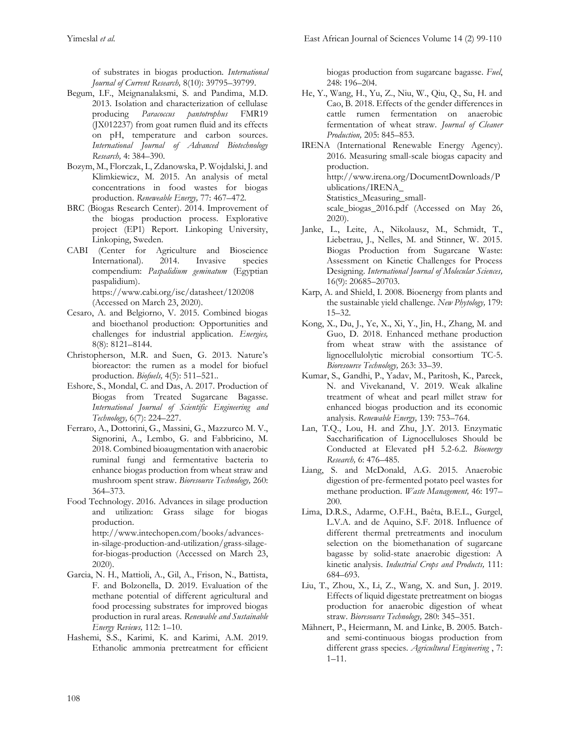of substrates in biogas production. *International Journal of Current Research,* 8(10): 39795–39799.

- Begum, I.F., Meignanalaksmi, S. and Pandima, M.D. 2013. Isolation and characterization of cellulase producing *Paracoccus pantotrophus* FMR19 (JX012237) from goat rumen fluid and its effects on pH, temperature and carbon sources. *International Journal of Advanced Biotechnology Research,* 4: 384–390.
- Bozym, M., Florczak, I., Zdanowska, P. Wojdalski, J. and Klimkiewicz, M. 2015. An analysis of metal concentrations in food wastes for biogas production. *Reneweable Energy,* 77: 467–472.
- BRC (Biogas Research Center). 2014. Improvement of the biogas production process. Explorative project (EP1) Report. Linkoping University, Linkoping, Sweden.
- CABI (Center for Agriculture and Bioscience International). 2014. Invasive species compendium: *Paspalidium geminatum* (Egyptian paspalidium). <https://www.cabi.org/isc/datasheet/120208> (Accessed on March 23, 2020).
- Cesaro, A. and Belgiorno, V. 2015. Combined biogas and bioethanol production: Opportunities and challenges for industrial application. *Energies,* 8(8): 8121–8144.
- Christopherson, M.R. and Suen, G. 2013. Nature's bioreactor: the rumen as a model for biofuel production. *Biofuels,* 4(5): 511–521..
- Eshore, S., Mondal, C. and Das, A. 2017. Production of Biogas from Treated Sugarcane Bagasse. *International Journal of Scientific Engineering and Technology,* 6(7): 224–227.
- Ferraro, A., Dottorini, G., Massini, G., Mazzurco M. V., Signorini, A., Lembo, G. and Fabbricino, M. 2018. Combined bioaugmentation with anaerobic ruminal fungi and fermentative bacteria to enhance biogas production from wheat straw and mushroom spent straw. *Bioresource Technology,* 260: 364–373.
- Food Technology. 2016. Advances in silage production and utilization: Grass silage for biogas production. http://www.intechopen.com/books/advancesin-silage-production-and-utilization/grass-silagefor-biogas-production (Accessed on March 23, 2020).
- Garcia, N. H., Mattioli, A., Gil, A., Frison, N., Battista, F. and Bolzonella, D. 2019. Evaluation of the methane potential of different agricultural and food processing substrates for improved biogas production in rural areas. *Renewable and Sustainable Energy Reviews,* 112: 1–10.
- Hashemi, S.S., Karimi, K. and Karimi, A.M. 2019. Ethanolic ammonia pretreatment for efficient

biogas production from sugarcane bagasse. *Fuel*, 248: 196–204.

- He, Y., Wang, H., Yu, Z., Niu, W., Qiu, Q., Su, H. and Cao, B. 2018. Effects of the gender differences in cattle rumen fermentation on anaerobic fermentation of wheat straw. *Journal of Cleaner Production,* 205: 845–853.
- IRENA (International Renewable Energy Agency). 2016. Measuring small-scale biogas capacity and production. http://www.irena.org/DocumentDownloads/P ublications/IRENA\_ Statistics\_Measuring\_smallscale\_biogas\_2016.pdf (Accessed on May 26, 2020).
- Janke, L., Leite, A., Nikolausz, M., Schmidt, T., Liebetrau, J., Nelles, M. and Stinner, W. 2015. Biogas Production from Sugarcane Waste: Assessment on Kinetic Challenges for Process Designing. *International Journal of Molecular Sciences,* 16(9): 20685–20703.
- Karp, A. and Shield, I. 2008. Bioenergy from plants and the sustainable yield challenge. *New Phytology,* 179: 15–32.
- Kong, X., Du, J., Ye, X., Xi, Y., Jin, H., Zhang, M. and Guo, D. 2018. Enhanced methane production from wheat straw with the assistance of lignocellulolytic microbial consortium TC-5. *Bioresource Technology,* 263: 33–39.
- Kumar, S., Gandhi, P., Yadav, M., Paritosh, K., Pareek, N. and Vivekanand, V. 2019. Weak alkaline treatment of wheat and pearl millet straw for enhanced biogas production and its economic analysis. *Renewable Energy,* 139: 753–764.
- Lan, T.Q., Lou, H. and Zhu, J.Y. 2013. Enzymatic Saccharification of Lignocelluloses Should be Conducted at Elevated pH 5.2-6.2. *Bioenergy Research,* 6: 476–485.
- Liang, S. and McDonald, A.G. 2015. Anaerobic digestion of pre-fermented potato peel wastes for methane production. *Waste Management,* 46: 197– 200.
- Lima, D.R.S., Adarme, O.F.H., Baêta, B.E.L., Gurgel, L.V.A. and de Aquino, S.F. 2018. Influence of different thermal pretreatments and inoculum selection on the biomethanation of sugarcane bagasse by solid-state anaerobic digestion: A kinetic analysis. *Industrial Crops and Products,* 111: 684–693.
- Liu, T., Zhou, X., Li, Z., Wang, X. and Sun, J. 2019. Effects of liquid digestate pretreatment on biogas production for anaerobic digestion of wheat straw. *Bioresource Technology,* 280: 345–351.
- Mähnert, P., Heiermann, M. and Linke, B. 2005. Batchand semi-continuous biogas production from different grass species. *Agricultural Engineering* , 7: 1–11.